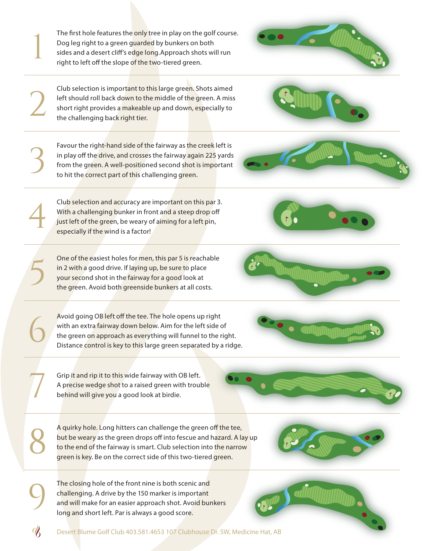Desert Blume Golf Club 403.581.4653 107 Clubhouse Dr. SW, Medicine Hat, AB

The first hole features the only tree in play on the golf course. Dog leg right to a green guarded by bunkers on both sides and a desert cliff's edge long.Approach shots will run right to left off the slope of the two-tiered green.

1

2

3

4

9

8

7

6

Club selection is important to this large green. Shots aimed left should roll back down to the middle of the green. A miss short right provides a makeable up and down, especially to the challenging back right tier.

Favour the right-hand side of the fairway as the creek left is in play off the drive, and crosses the fairway again 225 yards from the green. A well-positioned second shot is important to hit the correct part of this challenging green.

Club selection and accuracy are important on this par 3. With a challenging bunker in front and a steep drop off just left of the green, be weary of aiming for a left pin, especially if the wind is a factor!

One of the easiest holes for men, this par 5 is reachable<br>in 2 with a good drive. If laying up, be sure to place<br>your second shot in the fairway for a good look at<br>the green. Avoid both greenside bunkers at all costs. your second shot in the fairway for a good look at the green. Avoid both greenside bunkers at all costs.

> Avoid going OB left off the tee. The hole opens up right with an extra fairway down below. Aim for the left side of the green on approach as everything will funnel to the right. Distance control is key to this large green separated by a ridge.

Grip it and rip it to this wide fairway with OB left. A precise wedge shot to a raised green with trouble behind will give you a good look at birdie.

A quirky hole. Long hitters can challenge the green off the tee, but be weary as the green drops off into fescue and hazard. A lay up to the end of the fairway is smart. Club selection into the narrow green is key. Be on the correct side of this two-tiered green.

The closing hole of the front nine is both scenic and challenging. A drive by the 150 marker is important and will make for an easier approach shot. Avoid bunkers long and short left. Par is always a good score.